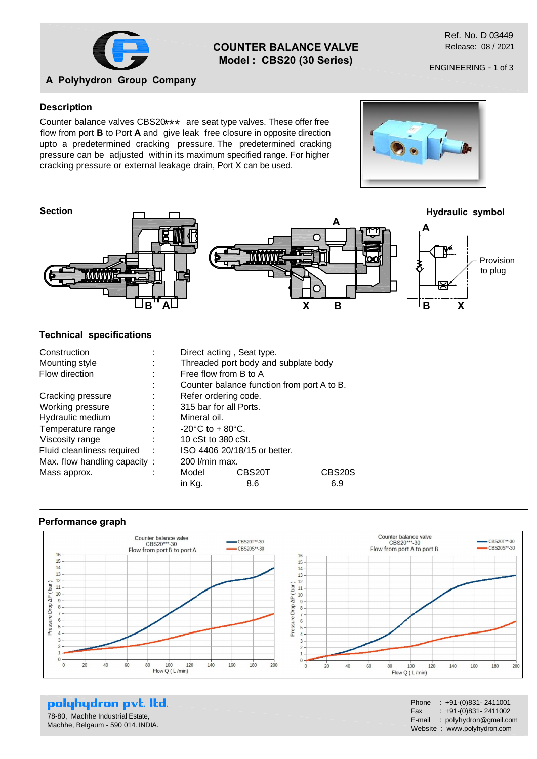

## **COUNTER BALANCE VALVE Model : CBS20 (30 Series)**

Ref. No. D 03449 Release: 08 / 2021

# **A Polyhydron Group Company**

#### **Description**

Counter balance valves CBS20\*\*\* are seat type valves. These offer free<br>flow from part **B** to Dart A and give leak, free algoure in appealte direction flow from port **B** to Port **A** and give leak free closure in opposite direction upto a predetermined cracking pressure. The predetermined cracking pressure can be adjusted within its maximum specified range. For higher cracking pressure or external leakage drain, Port X can be used.



#### **Technical specifications**

| Construction                 |                                     | Direct acting, Seat type.                  |        |
|------------------------------|-------------------------------------|--------------------------------------------|--------|
| Mounting style               |                                     | Threaded port body and subplate body       |        |
| Flow direction               | Free flow from B to A               |                                            |        |
|                              |                                     | Counter balance function from port A to B. |        |
| Cracking pressure            |                                     | Refer ordering code.                       |        |
| Working pressure             |                                     | 315 bar for all Ports.                     |        |
| Hydraulic medium             | Mineral oil.                        |                                            |        |
| Temperature range            | $-20^{\circ}$ C to $+80^{\circ}$ C. |                                            |        |
| Viscosity range              | 10 cSt to 380 cSt.                  |                                            |        |
| Fluid cleanliness required   |                                     | ISO 4406 20/18/15 or better.               |        |
| Max. flow handling capacity: | 200 l/min max.                      |                                            |        |
| Mass approx.                 | Model                               | CBS20T                                     | CBS20S |
|                              | in Kg.                              | 8.6                                        | 6.9    |

#### **Performance graph**



polyhydron pvt. Itd.

78-80, Machhe Industrial Estate, Machhe, Belgaum - 590 014. INDIA.

| Phone  | $: +91-(0)831 - 2411001$    |
|--------|-----------------------------|
| Fax    | $: +91-(0)831 - 2411002$    |
| E-mail | : polyhydron@gmail.com      |
|        | Website: www.polyhydron.com |

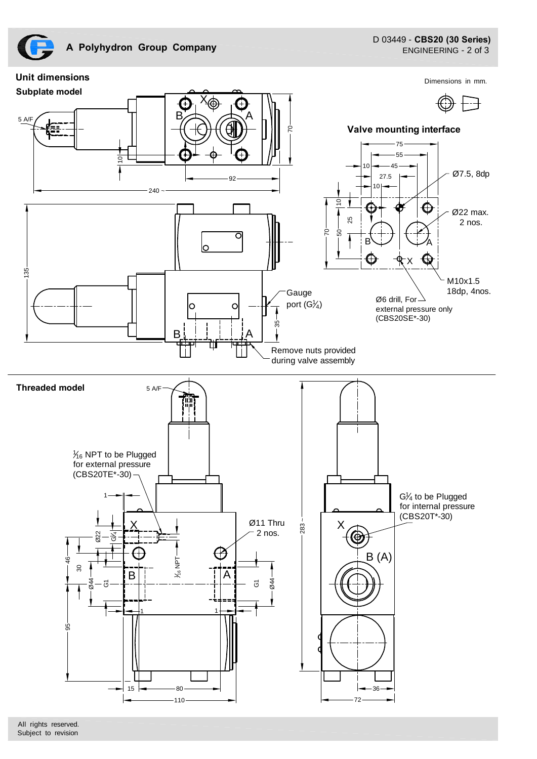